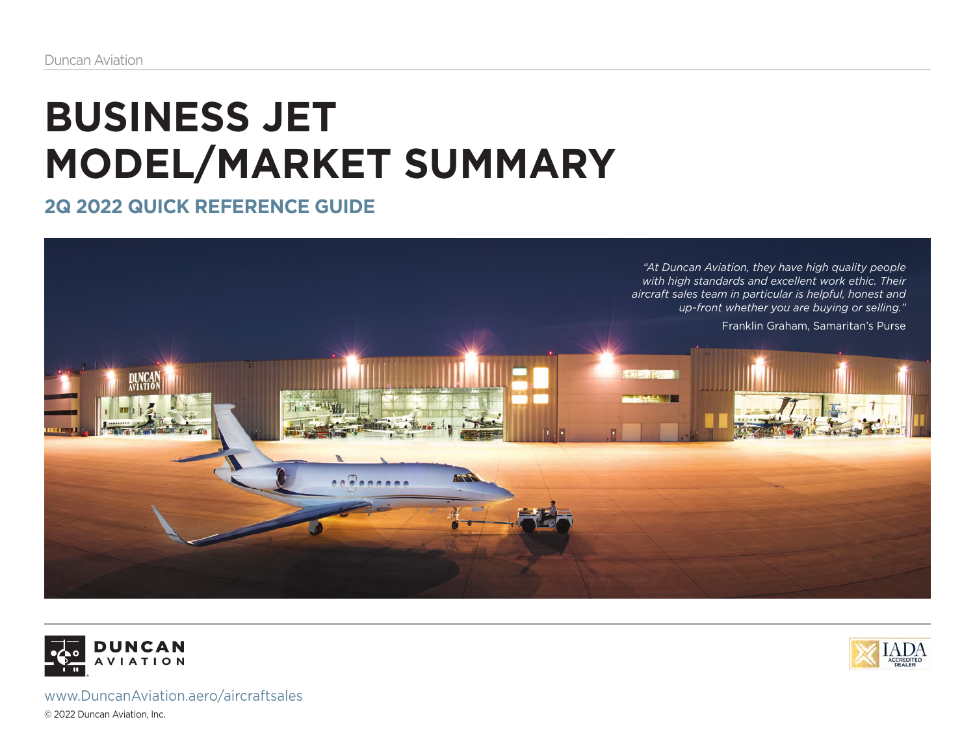## **BUSINESS JET MODEL/MARKET SUMMARY**

**2Q 2022 QUICK REFERENCE GUIDE**







www.DuncanAviation.aero/aircraftsales © 2022 Duncan Aviation, Inc.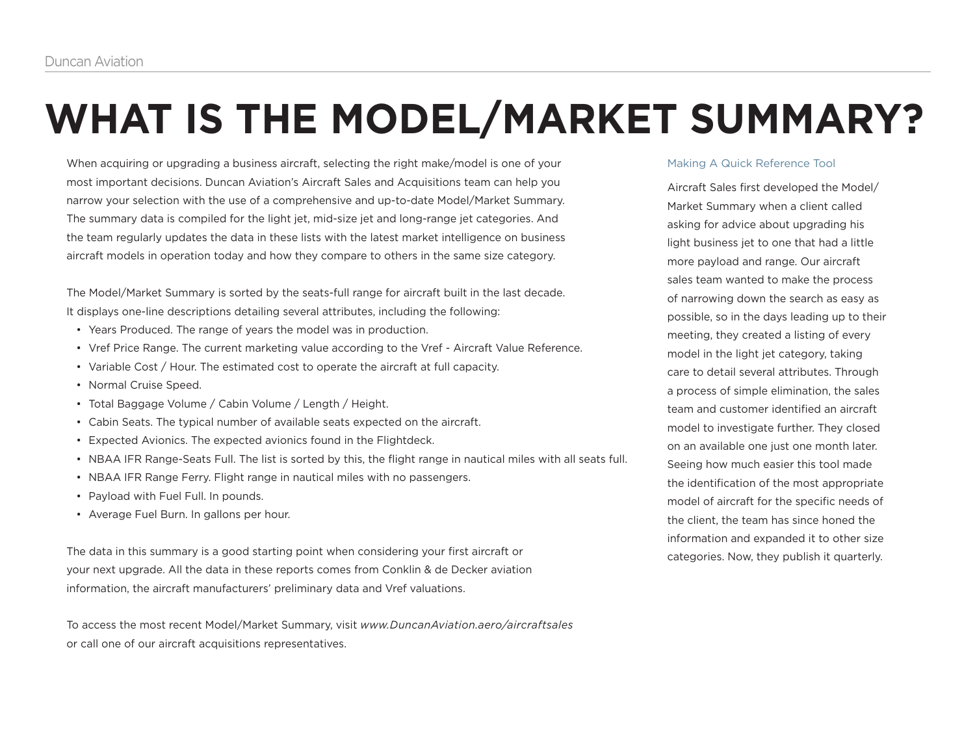# **WHAT IS THE MODEL/MARKET SUMMARY?**

When acquiring or upgrading a business aircraft, selecting the right make/model is one of your most important decisions. Duncan Aviation's Aircraft Sales and Acquisitions team can help you narrow your selection with the use of a comprehensive and up-to-date Model/Market Summary. The summary data is compiled for the light jet, mid-size jet and long-range jet categories. And the team regularly updates the data in these lists with the latest market intelligence on business aircraft models in operation today and how they compare to others in the same size category.

The Model/Market Summary is sorted by the seats-full range for aircraft built in the last decade. It displays one-line descriptions detailing several attributes, including the following:

- Years Produced. The range of years the model was in production.
- Vref Price Range. The current marketing value according to the Vref Aircraft Value Reference.
- Variable Cost / Hour. The estimated cost to operate the aircraft at full capacity.
- Normal Cruise Speed.
- Total Baggage Volume / Cabin Volume / Length / Height.
- Cabin Seats. The typical number of available seats expected on the aircraft.
- Expected Avionics. The expected avionics found in the Flightdeck.
- NBAA IFR Range-Seats Full. The list is sorted by this, the flight range in nautical miles with all seats full.
- NBAA IFR Range Ferry. Flight range in nautical miles with no passengers.
- Payload with Fuel Full. In pounds.
- Average Fuel Burn. In gallons per hour.

The data in this summary is a good starting point when considering your first aircraft or your next upgrade. All the data in these reports comes from Conklin & de Decker aviation information, the aircraft manufacturers' preliminary data and Vref valuations.

To access the most recent Model/Market Summary, visit *www.DuncanAviation.aero/aircraftsales* or call one of our aircraft acquisitions representatives.

### Making A Quick Reference Tool

Aircraft Sales first developed the Model/ Market Summary when a client called asking for advice about upgrading his light business jet to one that had a little more payload and range. Our aircraft sales team wanted to make the process of narrowing down the search as easy as possible, so in the days leading up to their meeting, they created a listing of every model in the light jet category, taking care to detail several attributes. Through a process of simple elimination, the sales team and customer identified an aircraft model to investigate further. They closed on an available one just one month later. Seeing how much easier this tool made the identification of the most appropriate model of aircraft for the specific needs of the client, the team has since honed the information and expanded it to other size categories. Now, they publish it quarterly.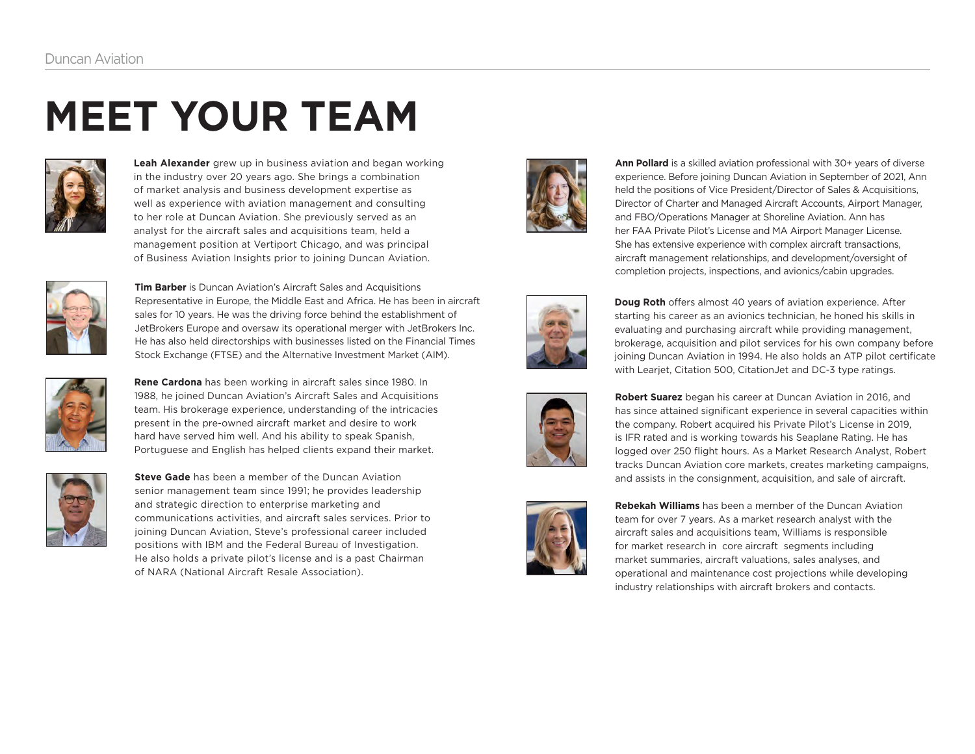# **MEET YOUR TEAM**



**Leah Alexander** grew up in business aviation and began working in the industry over 20 years ago. She brings a combination of market analysis and business development expertise as well as experience with aviation management and consulting to her role at Duncan Aviation. She previously served as an analyst for the aircraft sales and acquisitions team, held a management position at Vertiport Chicago, and was principal of Business Aviation Insights prior to joining Duncan Aviation.



**Tim Barber** is Duncan Aviation's Aircraft Sales and Acquisitions Representative in Europe, the Middle East and Africa. He has been in aircraft sales for 10 years. He was the driving force behind the establishment of JetBrokers Europe and oversaw its operational merger with JetBrokers Inc. He has also held directorships with businesses listed on the Financial Times Stock Exchange (FTSE) and the Alternative Investment Market (AIM).



**Rene Cardona** has been working in aircraft sales since 1980. In 1988, he joined Duncan Aviation's Aircraft Sales and Acquisitions team. His brokerage experience, understanding of the intricacies present in the pre-owned aircraft market and desire to work hard have served him well. And his ability to speak Spanish, Portuguese and English has helped clients expand their market.



**Steve Gade** has been a member of the Duncan Aviation senior management team since 1991; he provides leadership and strategic direction to enterprise marketing and communications activities, and aircraft sales services. Prior to joining Duncan Aviation, Steve's professional career included positions with IBM and the Federal Bureau of Investigation. He also holds a private pilot's license and is a past Chairman of NARA (National Aircraft Resale Association).



**Ann Pollard** is a skilled aviation professional with 30+ years of diverse experience. Before joining Duncan Aviation in September of 2021, Ann held the positions of Vice President/Director of Sales & Acquisitions, Director of Charter and Managed Aircraft Accounts, Airport Manager, and FBO/Operations Manager at Shoreline Aviation. Ann has her FAA Private Pilot's License and MA Airport Manager License. She has extensive experience with complex aircraft transactions, aircraft management relationships, and development/oversight of completion projects, inspections, and avionics/cabin upgrades.



**Doug Roth** offers almost 40 years of aviation experience. After starting his career as an avionics technician, he honed his skills in evaluating and purchasing aircraft while providing management, brokerage, acquisition and pilot services for his own company before joining Duncan Aviation in 1994. He also holds an ATP pilot certificate with Learjet, Citation 500, CitationJet and DC-3 type ratings.



**Robert Suarez** began his career at Duncan Aviation in 2016, and has since attained significant experience in several capacities within the company. Robert acquired his Private Pilot's License in 2019, is IFR rated and is working towards his Seaplane Rating. He has logged over 250 flight hours. As a Market Research Analyst, Robert tracks Duncan Aviation core markets, creates marketing campaigns, and assists in the consignment, acquisition, and sale of aircraft.



**Rebekah Williams** has been a member of the Duncan Aviation team for over 7 years. As a market research analyst with the aircraft sales and acquisitions team, Williams is responsible for market research in core aircraft segments including market summaries, aircraft valuations, sales analyses, and operational and maintenance cost projections while developing industry relationships with aircraft brokers and contacts.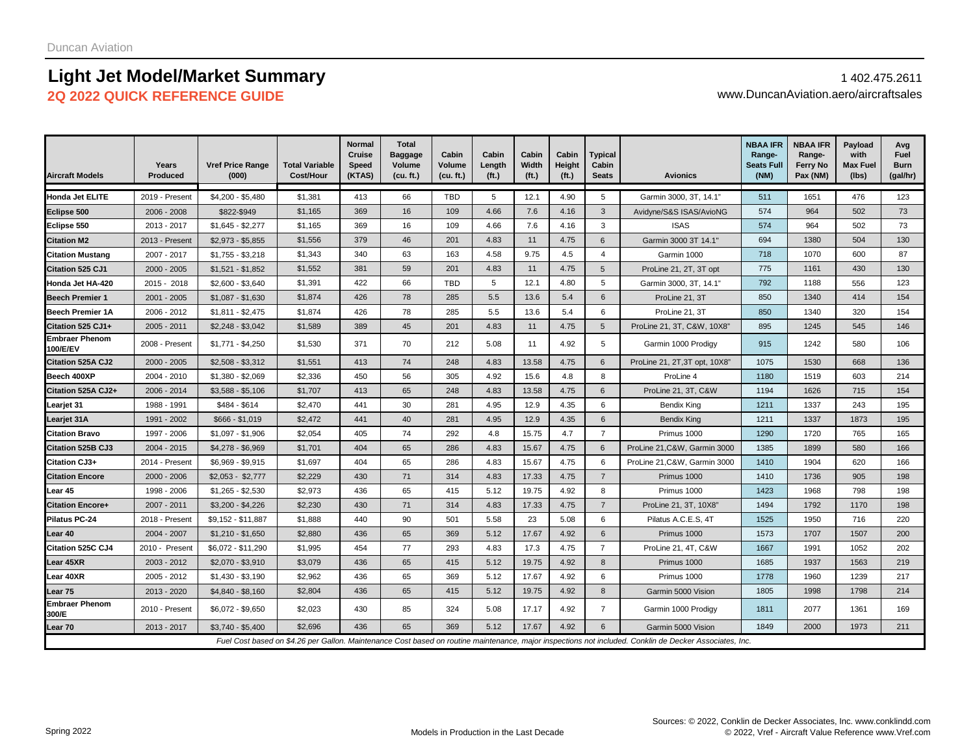### **Light Jet Model/Market Summary** 1 402.475.2611 **2Q 2022 QUICK REFERENCE GUIDE** www.DuncanAviation.aero/aircraftsales

| <b>Aircraft Models</b>            | Years<br><b>Produced</b> | <b>Vref Price Range</b><br>(000) | <b>Total Variable</b><br>Cost/Hour | <b>Normal</b><br>Cruise<br><b>Speed</b><br>(KTAS) | <b>Total</b><br><b>Baggage</b><br>Volume<br>(cu. ft.) | Cabin<br>Volume<br>(cu. ft.) | Cabin<br>Length<br>(f <sub>t</sub> ) | Cabin<br>Width<br>(f <sub>t</sub> ) | Cabin<br>Height<br>(f <sub>t</sub> ) | <b>Typical</b><br>Cabin<br><b>Seats</b> | <b>Avionics</b>                                                                                                                                         | <b>NBAA IFR</b><br>Range-<br><b>Seats Full</b><br>(MM) | <b>NBAA IFR</b><br>Range-<br><b>Ferry No</b><br>Pax (NM) | Payload<br>with<br><b>Max Fuel</b><br>(lbs) | Avg<br>Fuel<br><b>Burn</b><br>(gal/hr) |
|-----------------------------------|--------------------------|----------------------------------|------------------------------------|---------------------------------------------------|-------------------------------------------------------|------------------------------|--------------------------------------|-------------------------------------|--------------------------------------|-----------------------------------------|---------------------------------------------------------------------------------------------------------------------------------------------------------|--------------------------------------------------------|----------------------------------------------------------|---------------------------------------------|----------------------------------------|
| Honda Jet ELITE                   | 2019 - Present           | \$4.200 - \$5.480                | \$1,381                            | 413                                               | 66                                                    | <b>TBD</b>                   | 5                                    | 12.1                                | 4.90                                 | 5                                       | Garmin 3000, 3T, 14.1"                                                                                                                                  | 511                                                    | 1651                                                     | 476                                         | 123                                    |
| Eclipse 500                       | 2006 - 2008              | \$822-\$949                      | \$1,165                            | 369                                               | 16                                                    | 109                          | 4.66                                 | 7.6                                 | 4.16                                 | 3                                       | Avidyne/S&S ISAS/AvioNG                                                                                                                                 | 574                                                    | 964                                                      | 502                                         | 73                                     |
| Eclipse 550                       | 2013 - 2017              | $$1,645 - $2,277$                | \$1,165                            | 369                                               | 16                                                    | 109                          | 4.66                                 | 7.6                                 | 4.16                                 | 3                                       | <b>ISAS</b>                                                                                                                                             | 574                                                    | 964                                                      | 502                                         | 73                                     |
| <b>Citation M2</b>                | 2013 - Present           | $$2,973 - $5,855$                | \$1,556                            | 379                                               | 46                                                    | 201                          | 4.83                                 | 11                                  | 4.75                                 | 6                                       | Garmin 3000 3T 14.1"                                                                                                                                    | 694                                                    | 1380                                                     | 504                                         | 130                                    |
| <b>Citation Mustang</b>           | 2007 - 2017              | $$1,755 - $3,218$                | \$1,343                            | 340                                               | 63                                                    | 163                          | 4.58                                 | 9.75                                | 4.5                                  | $\overline{4}$                          | Garmin 1000                                                                                                                                             | 718                                                    | 1070                                                     | 600                                         | 87                                     |
| <b>Citation 525 CJ1</b>           | 2000 - 2005              | $$1,521 - $1,852$                | \$1,552                            | 381                                               | 59                                                    | 201                          | 4.83                                 | 11                                  | 4.75                                 | 5                                       | ProLine 21, 2T, 3T opt                                                                                                                                  | 775                                                    | 1161                                                     | 430                                         | 130                                    |
| Honda Jet HA-420                  | 2015 - 2018              | $$2,600 - $3,640$                | \$1,391                            | 422                                               | 66                                                    | TBD                          | 5                                    | 12.1                                | 4.80                                 | 5                                       | Garmin 3000, 3T, 14.1"                                                                                                                                  | 792                                                    | 1188                                                     | 556                                         | 123                                    |
| <b>Beech Premier 1</b>            | $2001 - 2005$            | $$1,087 - $1,630$                | \$1,874                            | 426                                               | 78                                                    | 285                          | 5.5                                  | 13.6                                | 5.4                                  | 6                                       | ProLine 21, 3T                                                                                                                                          | 850                                                    | 1340                                                     | 414                                         | 154                                    |
| <b>Beech Premier 1A</b>           | 2006 - 2012              | $$1,811 - $2,475$                | \$1,874                            | 426                                               | 78                                                    | 285                          | 5.5                                  | 13.6                                | 5.4                                  | 6                                       | ProLine 21, 3T                                                                                                                                          | 850                                                    | 1340                                                     | 320                                         | 154                                    |
| Citation 525 CJ1+                 | 2005 - 2011              | $$2,248 - $3,042$                | \$1,589                            | 389                                               | 45                                                    | 201                          | 4.83                                 | 11                                  | 4.75                                 | $5\overline{5}$                         | ProLine 21, 3T, C&W, 10X8'                                                                                                                              | 895                                                    | 1245                                                     | 545                                         | 146                                    |
| <b>Embraer Phenom</b><br>100/E/EV | 2008 - Present           | $$1,771 - $4,250$                | \$1,530                            | 371                                               | 70                                                    | 212                          | 5.08                                 | 11                                  | 4.92                                 | 5                                       | Garmin 1000 Prodigy                                                                                                                                     | 915                                                    | 1242                                                     | 580                                         | 106                                    |
| Citation 525A CJ2                 | $2000 - 2005$            | $$2,508 - $3,312$                | \$1,551                            | 413                                               | 74                                                    | 248                          | 4.83                                 | 13.58                               | 4.75                                 | 6                                       | ProLine 21, 2T, 3T opt, 10X8"                                                                                                                           | 1075                                                   | 1530                                                     | 668                                         | 136                                    |
| Beech 400XP                       | 2004 - 2010              | $$1,380 - $2,069$                | \$2,336                            | 450                                               | 56                                                    | 305                          | 4.92                                 | 15.6                                | 4.8                                  | 8                                       | ProLine 4                                                                                                                                               | 1180                                                   | 1519                                                     | 603                                         | 214                                    |
| Citation 525A CJ2+                | 2006 - 2014              | $$3,588 - $5,106$                | \$1,707                            | 413                                               | 65                                                    | 248                          | 4.83                                 | 13.58                               | 4.75                                 | 6                                       | ProLine 21, 3T, C&W                                                                                                                                     | 1194                                                   | 1626                                                     | 715                                         | 154                                    |
| Learjet 31                        | 1988 - 1991              | \$484 - \$614                    | \$2,470                            | 441                                               | 30                                                    | 281                          | 4.95                                 | 12.9                                | 4.35                                 | 6                                       | Bendix King                                                                                                                                             | 1211                                                   | 1337                                                     | 243                                         | 195                                    |
| Learjet 31A                       | 1991 - 2002              | $$666 - $1,019$                  | \$2,472                            | 441                                               | 40                                                    | 281                          | 4.95                                 | 12.9                                | 4.35                                 | 6                                       | <b>Bendix King</b>                                                                                                                                      | 1211                                                   | 1337                                                     | 1873                                        | 195                                    |
| <b>Citation Bravo</b>             | 1997 - 2006              | \$1,097 - \$1,906                | \$2,054                            | 405                                               | 74                                                    | 292                          | 4.8                                  | 15.75                               | 4.7                                  | $\overline{7}$                          | Primus 1000                                                                                                                                             | 1290                                                   | 1720                                                     | 765                                         | 165                                    |
| Citation 525B CJ3                 | 2004 - 2015              | $$4,278 - $6,969$                | \$1,701                            | 404                                               | 65                                                    | 286                          | 4.83                                 | 15.67                               | 4.75                                 | 6                                       | ProLine 21, C&W, Garmin 3000                                                                                                                            | 1385                                                   | 1899                                                     | 580                                         | 166                                    |
| Citation CJ3+                     | 2014 - Present           | \$6,969 - \$9,915                | \$1,697                            | 404                                               | 65                                                    | 286                          | 4.83                                 | 15.67                               | 4.75                                 | 6                                       | ProLine 21, C&W, Garmin 3000                                                                                                                            | 1410                                                   | 1904                                                     | 620                                         | 166                                    |
| <b>Citation Encore</b>            | 2000 - 2006              | $$2,053 - $2,777$                | \$2,229                            | 430                                               | 71                                                    | 314                          | 4.83                                 | 17.33                               | 4.75                                 | $\overline{7}$                          | Primus 1000                                                                                                                                             | 1410                                                   | 1736                                                     | 905                                         | 198                                    |
| Lear 45                           | 1998 - 2006              | $$1,265 - $2,530$                | \$2,973                            | 436                                               | 65                                                    | 415                          | 5.12                                 | 19.75                               | 4.92                                 | 8                                       | Primus 1000                                                                                                                                             | 1423                                                   | 1968                                                     | 798                                         | 198                                    |
| <b>Citation Encore+</b>           | 2007 - 2011              | $$3.200 - $4.226$                | \$2,230                            | 430                                               | 71                                                    | 314                          | 4.83                                 | 17.33                               | 4.75                                 | $\overline{7}$                          | ProLine 21, 3T, 10X8"                                                                                                                                   | 1494                                                   | 1792                                                     | 1170                                        | 198                                    |
| <b>Pilatus PC-24</b>              | 2018 - Present           | \$9,152 - \$11,887               | \$1,888                            | 440                                               | 90                                                    | 501                          | 5.58                                 | 23                                  | 5.08                                 | 6                                       | Pilatus A.C.E.S, 4T                                                                                                                                     | 1525                                                   | 1950                                                     | 716                                         | 220                                    |
| Lear 40                           | 2004 - 2007              | $$1,210 - $1,650$                | \$2,880                            | 436                                               | 65                                                    | 369                          | 5.12                                 | 17.67                               | 4.92                                 | 6                                       | Primus 1000                                                                                                                                             | 1573                                                   | 1707                                                     | 1507                                        | 200                                    |
| Citation 525C CJ4                 | 2010 - Present           | \$6,072 - \$11,290               | \$1,995                            | 454                                               | 77                                                    | 293                          | 4.83                                 | 17.3                                | 4.75                                 | $\overline{7}$                          | ProLine 21, 4T, C&W                                                                                                                                     | 1667                                                   | 1991                                                     | 1052                                        | 202                                    |
| Lear 45XR                         | 2003 - 2012              | $$2,070 - $3,910$                | \$3,079                            | 436                                               | 65                                                    | 415                          | 5.12                                 | 19.75                               | 4.92                                 | 8                                       | Primus 1000                                                                                                                                             | 1685                                                   | 1937                                                     | 1563                                        | 219                                    |
| Lear 40XR                         | 2005 - 2012              | $$1,430 - $3,190$                | \$2,962                            | 436                                               | 65                                                    | 369                          | 5.12                                 | 17.67                               | 4.92                                 | 6                                       | Primus 1000                                                                                                                                             | 1778                                                   | 1960                                                     | 1239                                        | 217                                    |
| Lear <sub>75</sub>                | 2013 - 2020              | \$4,840 - \$8,160                | \$2,804                            | 436                                               | 65                                                    | 415                          | 5.12                                 | 19.75                               | 4.92                                 | 8                                       | Garmin 5000 Vision                                                                                                                                      | 1805                                                   | 1998                                                     | 1798                                        | 214                                    |
| <b>Embraer Phenom</b><br>1300/E   | 2010 - Present           | $$6,072 - $9,650$                | \$2,023                            | 430                                               | 85                                                    | 324                          | 5.08                                 | 17.17                               | 4.92                                 | $\overline{7}$                          | Garmin 1000 Prodigy                                                                                                                                     | 1811                                                   | 2077                                                     | 1361                                        | 169                                    |
| Lear 70                           | 2013 - 2017              | $$3.740 - $5.400$                | \$2.696                            | 436                                               | 65                                                    | 369                          | 5.12                                 | 17.67                               | 4.92                                 | 6                                       | Garmin 5000 Vision                                                                                                                                      | 1849                                                   | 2000                                                     | 1973                                        | 211                                    |
|                                   |                          |                                  |                                    |                                                   |                                                       |                              |                                      |                                     |                                      |                                         | Fuel Cost based on \$4.26 per Gallon. Maintenance Cost based on routine maintenance, major inspections not included. Conklin de Decker Associates, Inc. |                                                        |                                                          |                                             |                                        |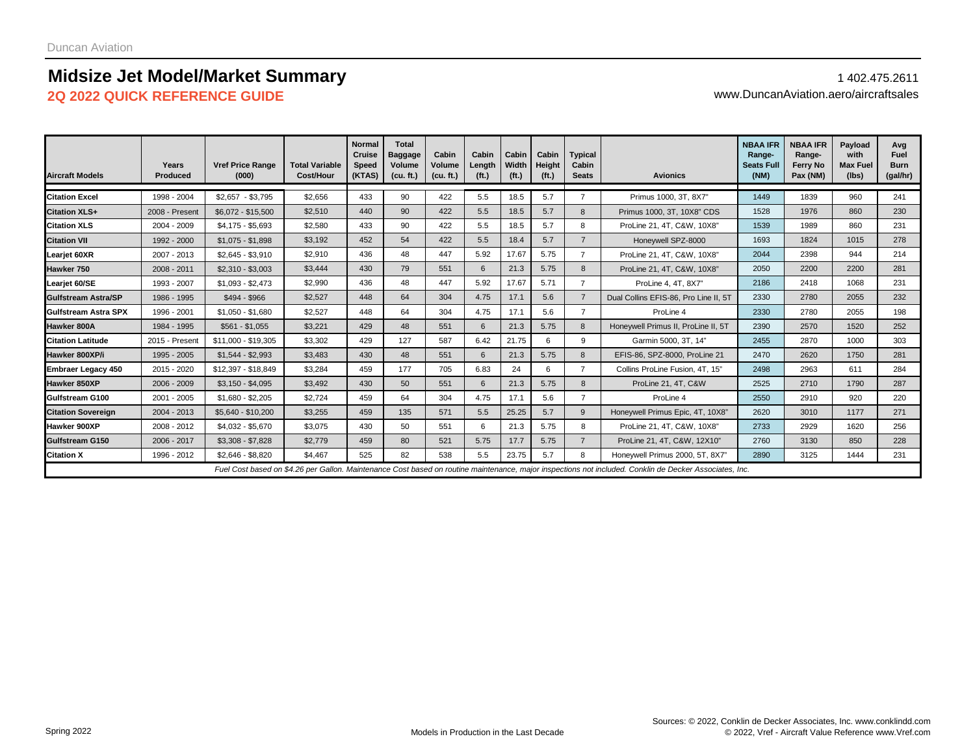## **Midsize Jet Model/Market Summary** 1402.475.2611

**2Q 2022 QUICK REFERENCE GUIDE** www.DuncanAviation.aero/aircraftsales

| <b>Aircraft Models</b>    | Years<br><b>Produced</b> | <b>Vref Price Range</b><br>(000) | <b>Total Variable</b><br>Cost/Hour | <b>Normal</b><br>Cruise<br><b>Speed</b><br>(KTAS) | <b>Total</b><br><b>Baggage</b><br>Volume<br>(cu. ft.) | Cabin<br>Volume<br>(cu. ft.) | Cabin<br>Length<br>(f <sub>t</sub> ) | Cabin<br>Width<br>(f <sub>t</sub> ) | Cabin<br>Height<br>(f <sub>t</sub> ) | <b>Typical</b><br>Cabin<br><b>Seats</b> | <b>Avionics</b>                                                                                                                                         | <b>NBAA IFR</b><br>Range-<br><b>Seats Full</b><br>(NM) | <b>NBAA IFR</b><br>Range-<br>Ferry No<br>Pax (NM) | Payload<br>with<br><b>Max Fuel</b><br>(lbs) | Avg<br><b>Fuel</b><br><b>Burn</b><br>(gal/hr) |
|---------------------------|--------------------------|----------------------------------|------------------------------------|---------------------------------------------------|-------------------------------------------------------|------------------------------|--------------------------------------|-------------------------------------|--------------------------------------|-----------------------------------------|---------------------------------------------------------------------------------------------------------------------------------------------------------|--------------------------------------------------------|---------------------------------------------------|---------------------------------------------|-----------------------------------------------|
| <b>Citation Excel</b>     | 1998 - 2004              | $$2,657 - $3,795$                | \$2.656                            | 433                                               | 90                                                    | 422                          | 5.5                                  | 18.5                                | 5.7                                  | $\overline{7}$                          | Primus 1000, 3T, 8X7"                                                                                                                                   | 1449                                                   | 1839                                              | 960                                         | 241                                           |
| <b>Citation XLS+</b>      | 2008 - Present           | \$6,072 - \$15,500               | \$2,510                            | 440                                               | 90                                                    | 422                          | 5.5                                  | 18.5                                | 5.7                                  |                                         | Primus 1000, 3T, 10X8" CDS                                                                                                                              | 1528                                                   | 1976                                              | 860                                         | 230                                           |
| <b>Citation XLS</b>       | 2004 - 2009              | $$4,175 - $5,693$                | \$2,580                            | 433                                               | 90                                                    | 422                          | 5.5                                  | 18.5                                | 5.7                                  | 8                                       | ProLine 21, 4T, C&W, 10X8"                                                                                                                              | 1539                                                   | 1989                                              | 860                                         | 231                                           |
| <b>Citation VII</b>       | 1992 - 2000              | $$1,075 - $1,898$                | \$3,192                            | 452                                               | 54                                                    | 422                          | 5.5                                  | 18.4                                | 5.7                                  | $\overline{7}$                          | Honeywell SPZ-8000                                                                                                                                      | 1693                                                   | 1824                                              | 1015                                        | 278                                           |
| Learjet 60XR              | 2007 - 2013              | $$2,645 - $3,910$                | \$2,910                            | 436                                               | 48                                                    | 447                          | 5.92                                 | 17.67                               | 5.75                                 |                                         | ProLine 21, 4T, C&W, 10X8"                                                                                                                              | 2044                                                   | 2398                                              | 944                                         | 214                                           |
| Hawker 750                | 2008 - 2011              | $$2,310 - $3,003$                | \$3,444                            | 430                                               | 79                                                    | 551                          | 6                                    | 21.3                                | 5.75                                 | 8                                       | ProLine 21, 4T, C&W, 10X8"                                                                                                                              | 2050                                                   | 2200                                              | 2200                                        | 281                                           |
| Learjet 60/SE             | 1993 - 2007              | $$1,093 - $2,473$                | \$2,990                            | 436                                               | 48                                                    | 447                          | 5.92                                 | 17.67                               | 5.71                                 | $\overline{7}$                          | ProLine 4, 4T, 8X7"                                                                                                                                     | 2186                                                   | 2418                                              | 1068                                        | 231                                           |
| Gulfstream Astra/SP       | 1986 - 1995              | \$494 - \$966                    | \$2,527                            | 448                                               | 64                                                    | 304                          | 4.75                                 | 17.1                                | 5.6                                  | $\overline{7}$                          | Dual Collins EFIS-86, Pro Line II, 5T                                                                                                                   | 2330                                                   | 2780                                              | 2055                                        | 232                                           |
| Gulfstream Astra SPX      | 1996 - 2001              | $$1,050 - $1,680$                | \$2,527                            | 448                                               | 64                                                    | 304                          | 4.75                                 | 17.1                                | 5.6                                  | $\overline{7}$                          | ProLine 4                                                                                                                                               | 2330                                                   | 2780                                              | 2055                                        | 198                                           |
| <b>Hawker 800A</b>        | 1984 - 1995              | $$561 - $1,055$                  | \$3,221                            | 429                                               | 48                                                    | 551                          | 6                                    | 21.3                                | 5.75                                 | 8                                       | Honeywell Primus II, ProLine II, 5T                                                                                                                     | 2390                                                   | 2570                                              | 1520                                        | 252                                           |
| <b>Citation Latitude</b>  | 2015 - Present           | \$11,000 - \$19,305              | \$3,302                            | 429                                               | 127                                                   | 587                          | 6.42                                 | 21.75                               | 6                                    | 9                                       | Garmin 5000, 3T, 14"                                                                                                                                    | 2455                                                   | 2870                                              | 1000                                        | 303                                           |
| Hawker 800XP/i            | 1995 - 2005              | $$1.544 - $2.993$                | \$3.483                            | 430                                               | 48                                                    | 551                          | 6                                    | 21.3                                | 5.75                                 | 8                                       | EFIS-86, SPZ-8000, ProLine 21                                                                                                                           | 2470                                                   | 2620                                              | 1750                                        | 281                                           |
| <b>Embraer Legacy 450</b> | 2015 - 2020              | \$12,397 - \$18,849              | \$3,284                            | 459                                               | 177                                                   | 705                          | 6.83                                 | 24                                  | 6                                    | $\overline{7}$                          | Collins ProLine Fusion, 4T, 15"                                                                                                                         | 2498                                                   | 2963                                              | 611                                         | 284                                           |
| Hawker 850XP              | 2006 - 2009              | $$3,150 - $4,095$                | \$3,492                            | 430                                               | 50                                                    | 551                          | 6                                    | 21.3                                | 5.75                                 | 8                                       | ProLine 21, 4T, C&W                                                                                                                                     | 2525                                                   | 2710                                              | 1790                                        | 287                                           |
| Gulfstream G100           | 2001 - 2005              | $$1,680 - $2,205$                | \$2,724                            | 459                                               | 64                                                    | 304                          | 4.75                                 | 17.1                                | 5.6                                  | $\overline{7}$                          | ProLine 4                                                                                                                                               | 2550                                                   | 2910                                              | 920                                         | 220                                           |
| <b>Citation Sovereign</b> | 2004 - 2013              | \$5,640 - \$10,200               | \$3,255                            | 459                                               | 135                                                   | 571                          | 5.5                                  | 25.25                               | 5.7                                  | 9                                       | Honeywell Primus Epic, 4T, 10X8"                                                                                                                        | 2620                                                   | 3010                                              | 1177                                        | 271                                           |
| Hawker 900XP              | 2008 - 2012              | \$4,032 - \$5,670                | \$3,075                            | 430                                               | 50                                                    | 551                          | 6                                    | 21.3                                | 5.75                                 | 8                                       | ProLine 21, 4T, C&W, 10X8"                                                                                                                              | 2733                                                   | 2929                                              | 1620                                        | 256                                           |
| Gulfstream G150           | 2006 - 2017              | $$3,308 - $7,828$                | \$2,779                            | 459                                               | 80                                                    | 521                          | 5.75                                 | 17.7                                | 5.75                                 | $\overline{7}$                          | ProLine 21, 4T, C&W, 12X10"                                                                                                                             | 2760                                                   | 3130                                              | 850                                         | 228                                           |
| <b>Citation X</b>         | 1996 - 2012              | $$2,646 - $8,820$                | \$4.467                            | 525                                               | 82                                                    | 538                          | 5.5                                  | 23.75                               | 5.7                                  | 8                                       | Honeywell Primus 2000, 5T, 8X7"                                                                                                                         | 2890                                                   | 3125                                              | 1444                                        | 231                                           |
|                           |                          |                                  |                                    |                                                   |                                                       |                              |                                      |                                     |                                      |                                         | Fuel Cost based on \$4.26 per Gallon. Maintenance Cost based on routine maintenance, major inspections not included. Conklin de Decker Associates, Inc. |                                                        |                                                   |                                             |                                               |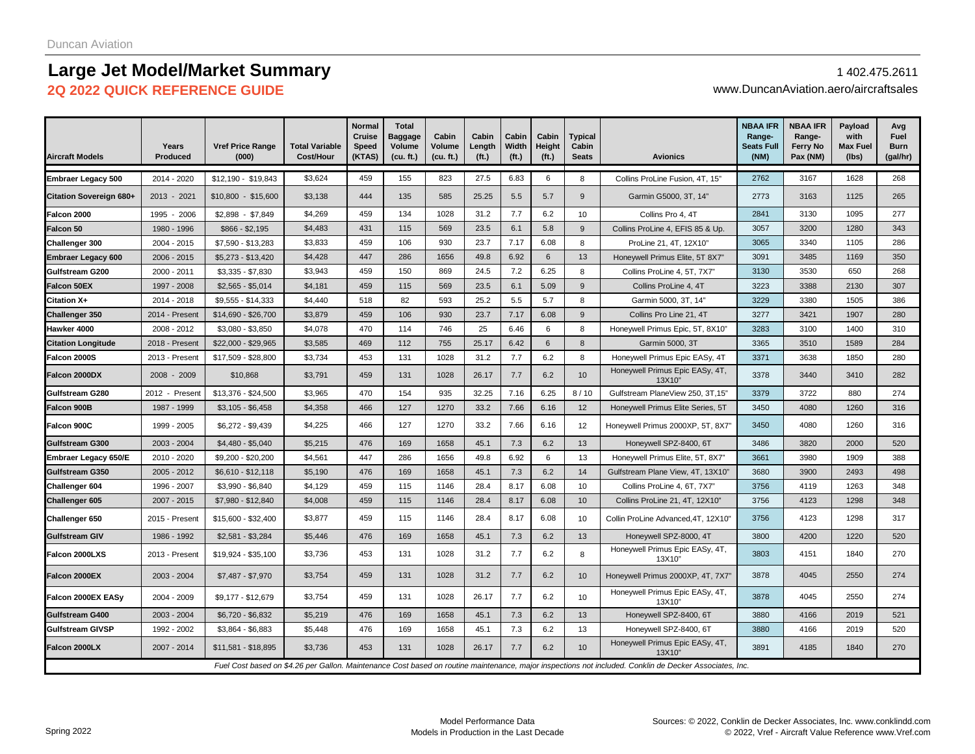## **Large Jet Model/Market Summary** 2014 2021 2022 2014 2022 2014 2022 2014 2022 2014

### **2Q 2022 QUICK REFERENCE GUIDE** www.DuncanAviation.aero/aircraftsales

| <b>Aircraft Models</b>    | Years<br><b>Produced</b> | <b>Vref Price Range</b><br>(000) | <b>Total Variable</b><br>Cost/Hour | <b>Normal</b><br>Cruise<br>Speed<br>(KTAS) | <b>Total</b><br>Baggage<br>Volume<br>(cu. ft.) | Cabin<br>Volume<br>(cu. ft.) | Cabin<br>Length<br>(f <sub>t</sub> ) | Cabin<br>Width<br>(f <sub>t</sub> ) | Cabin<br>Height<br>(f <sub>t</sub> ) | <b>Typical</b><br>Cabin<br><b>Seats</b> | <b>Avionics</b>                                                                                                                                         | <b>NBAA IFR</b><br>Range-<br><b>Seats Full</b><br>(NM) | <b>NBAA IFR</b><br>Range-<br><b>Ferry No</b><br>Pax (NM) | Payload<br>with<br><b>Max Fuel</b><br>(lbs) | Avg<br>Fuel<br><b>Burn</b><br>(gal/hr) |
|---------------------------|--------------------------|----------------------------------|------------------------------------|--------------------------------------------|------------------------------------------------|------------------------------|--------------------------------------|-------------------------------------|--------------------------------------|-----------------------------------------|---------------------------------------------------------------------------------------------------------------------------------------------------------|--------------------------------------------------------|----------------------------------------------------------|---------------------------------------------|----------------------------------------|
| <b>Embraer Legacy 500</b> | 2014 - 2020              | \$12,190 - \$19,843              | \$3,624                            | 459                                        | 155                                            | 823                          | 27.5                                 | 6.83                                | 6                                    | 8                                       | Collins ProLine Fusion, 4T, 15"                                                                                                                         | 2762                                                   | 3167                                                     | 1628                                        | 268                                    |
| Citation Sovereign 680+   | 2013 - 2021              | $$10,800 - $15,600$              | \$3,138                            | 444                                        | 135                                            | 585                          | 25.25                                | 5.5                                 | 5.7                                  | 9                                       | Garmin G5000, 3T, 14"                                                                                                                                   | 2773                                                   | 3163                                                     | 1125                                        | 265                                    |
| Falcon 2000               | 1995 - 2006              | $$2,898 - $7,849$                | \$4,269                            | 459                                        | 134                                            | 1028                         | 31.2                                 | 7.7                                 | 6.2                                  | 10                                      | Collins Pro 4, 4T                                                                                                                                       | 2841                                                   | 3130                                                     | 1095                                        | 277                                    |
| Falcon 50                 | 1980 - 1996              | $$866 - $2,195$                  | \$4,483                            | 431                                        | 115                                            | 569                          | 23.5                                 | 6.1                                 | 5.8                                  | 9                                       | Collins ProLine 4, EFIS 85 & Up.                                                                                                                        | 3057                                                   | 3200                                                     | 1280                                        | 343                                    |
| Challenger 300            | 2004 - 2015              | \$7,590 - \$13,283               | \$3,833                            | 459                                        | 106                                            | 930                          | 23.7                                 | 7.17                                | 6.08                                 | 8                                       | ProLine 21, 4T, 12X10"                                                                                                                                  | 3065                                                   | 3340                                                     | 1105                                        | 286                                    |
| Embraer Legacy 600        | 2006 - 2015              | $$5,273 - $13,420$               | \$4,428                            | 447                                        | 286                                            | 1656                         | 49.8                                 | 6.92                                | 6                                    | 13                                      | Honeywell Primus Elite, 5T 8X7"                                                                                                                         | 3091                                                   | 3485                                                     | 1169                                        | 350                                    |
| Gulfstream G200           | 2000 - 2011              | $$3,335 - $7,830$                | \$3,943                            | 459                                        | 150                                            | 869                          | 24.5                                 | 7.2                                 | 6.25                                 | 8                                       | Collins ProLine 4, 5T, 7X7"                                                                                                                             | 3130                                                   | 3530                                                     | 650                                         | 268                                    |
| Falcon 50EX               | 1997 - 2008              | $$2,565 - $5,014$                | \$4,181                            | 459                                        | 115                                            | 569                          | 23.5                                 | 6.1                                 | 5.09                                 | 9                                       | Collins ProLine 4, 4T                                                                                                                                   | 3223                                                   | 3388                                                     | 2130                                        | 307                                    |
| Citation X+               | 2014 - 2018              | $$9,555 - $14,333$               | \$4,440                            | 518                                        | 82                                             | 593                          | 25.2                                 | 5.5                                 | 5.7                                  | 8                                       | Garmin 5000, 3T, 14"                                                                                                                                    | 3229                                                   | 3380                                                     | 1505                                        | 386                                    |
| <b>Challenger 350</b>     | 2014 - Present           | \$14,690 - \$26,700              | \$3,879                            | 459                                        | 106                                            | 930                          | 23.7                                 | 7.17                                | 6.08                                 | 9                                       | Collins Pro Line 21, 4T                                                                                                                                 | 3277                                                   | 3421                                                     | 1907                                        | 280                                    |
| Hawker 4000               | 2008 - 2012              | $$3,080 - $3,850$                | \$4,078                            | 470                                        | 114                                            | 746                          | 25                                   | 6.46                                | 6                                    | 8                                       | Honeywell Primus Epic, 5T, 8X10"                                                                                                                        | 3283                                                   | 3100                                                     | 1400                                        | 310                                    |
| <b>Citation Longitude</b> | 2018 - Present           | \$22,000 - \$29,965              | \$3,585                            | 469                                        | 112                                            | 755                          | 25.17                                | 6.42                                | 6                                    | 8                                       | Garmin 5000, 3T                                                                                                                                         | 3365                                                   | 3510                                                     | 1589                                        | 284                                    |
| Falcon 2000S              | 2013 - Present           | \$17,509 - \$28,800              | \$3,734                            | 453                                        | 131                                            | 1028                         | 31.2                                 | 7.7                                 | 6.2                                  | 8                                       | Honeywell Primus Epic EASy, 4T                                                                                                                          | 3371                                                   | 3638                                                     | 1850                                        | 280                                    |
| Falcon 2000DX             | 2008 - 2009              | \$10,868                         | \$3,791                            | 459                                        | 131                                            | 1028                         | 26.17                                | 7.7                                 | 6.2                                  | 10                                      | Honeywell Primus Epic EASy, 4T,<br>13X10'                                                                                                               | 3378                                                   | 3440                                                     | 3410                                        | 282                                    |
| Gulfstream G280           | 2012 - Present           | \$13,376 - \$24,500              | \$3,965                            | 470                                        | 154                                            | 935                          | 32.25                                | 7.16                                | 6.25                                 | 8/10                                    | Gulfstream PlaneView 250, 3T,15"                                                                                                                        | 3379                                                   | 3722                                                     | 880                                         | 274                                    |
| Falcon 900B               | 1987 - 1999              | $$3,105 - $6,458$                | \$4,358                            | 466                                        | 127                                            | 1270                         | 33.2                                 | 7.66                                | 6.16                                 | 12                                      | Honeywell Primus Elite Series, 5T                                                                                                                       | 3450                                                   | 4080                                                     | 1260                                        | 316                                    |
| Falcon 900C               | 1999 - 2005              | $$6,272 - $9,439$                | \$4,225                            | 466                                        | 127                                            | 1270                         | 33.2                                 | 7.66                                | 6.16                                 | 12                                      | Honeywell Primus 2000XP, 5T, 8X7"                                                                                                                       | 3450                                                   | 4080                                                     | 1260                                        | 316                                    |
| Gulfstream G300           | 2003 - 2004              | $$4,480 - $5,040$                | \$5,215                            | 476                                        | 169                                            | 1658                         | 45.1                                 | 7.3                                 | 6.2                                  | 13                                      | Honeywell SPZ-8400, 6T                                                                                                                                  | 3486                                                   | 3820                                                     | 2000                                        | 520                                    |
| Embraer Legacy 650/E      | 2010 - 2020              | \$9,200 - \$20,200               | \$4,561                            | 447                                        | 286                                            | 1656                         | 49.8                                 | 6.92                                | 6                                    | 13                                      | Honeywell Primus Elite, 5T, 8X7"                                                                                                                        | 3661                                                   | 3980                                                     | 1909                                        | 388                                    |
| Gulfstream G350           | 2005 - 2012              | $$6,610 - $12,118$               | \$5,190                            | 476                                        | 169                                            | 1658                         | 45.1                                 | 7.3                                 | 6.2                                  | 14                                      | Gulfstream Plane View, 4T, 13X10"                                                                                                                       | 3680                                                   | 3900                                                     | 2493                                        | 498                                    |
| Challenger 604            | 1996 - 2007              | $$3,990 - $6,840$                | \$4,129                            | 459                                        | 115                                            | 1146                         | 28.4                                 | 8.17                                | 6.08                                 | 10                                      | Collins ProLine 4, 6T, 7X7"                                                                                                                             | 3756                                                   | 4119                                                     | 1263                                        | 348                                    |
| Challenger 605            | 2007 - 2015              | \$7,980 - \$12,840               | \$4,008                            | 459                                        | 115                                            | 1146                         | 28.4                                 | 8.17                                | 6.08                                 | 10                                      | Collins ProLine 21, 4T, 12X10"                                                                                                                          | 3756                                                   | 4123                                                     | 1298                                        | 348                                    |
| Challenger 650            | 2015 - Present           | $$15,600 - $32,400$              | \$3,877                            | 459                                        | 115                                            | 1146                         | 28.4                                 | 8.17                                | 6.08                                 | 10                                      | Collin ProLine Advanced, 4T, 12X10"                                                                                                                     | 3756                                                   | 4123                                                     | 1298                                        | 317                                    |
| <b>Gulfstream GIV</b>     | 1986 - 1992              | $$2,581 - $3,284$                | \$5,446                            | 476                                        | 169                                            | 1658                         | 45.1                                 | 7.3                                 | 6.2                                  | 13                                      | Honeywell SPZ-8000, 4T                                                                                                                                  | 3800                                                   | 4200                                                     | 1220                                        | 520                                    |
| Falcon 2000LXS            | 2013 - Present           | \$19,924 - \$35,100              | \$3,736                            | 453                                        | 131                                            | 1028                         | 31.2                                 | 7.7                                 | 6.2                                  | 8                                       | Honeywell Primus Epic EASy, 4T,<br>13X10"                                                                                                               | 3803                                                   | 4151                                                     | 1840                                        | 270                                    |
| Falcon 2000EX             | 2003 - 2004              | \$7,487 - \$7,970                | \$3,754                            | 459                                        | 131                                            | 1028                         | 31.2                                 | 7.7                                 | 6.2                                  | 10                                      | Honeywell Primus 2000XP, 4T, 7X7"                                                                                                                       | 3878                                                   | 4045                                                     | 2550                                        | 274                                    |
| Falcon 2000EX EASy        | 2004 - 2009              | \$9,177 - \$12,679               | \$3,754                            | 459                                        | 131                                            | 1028                         | 26.17                                | 7.7                                 | 6.2                                  | 10                                      | Honeywell Primus Epic EASy, 4T,<br>13X10'                                                                                                               | 3878                                                   | 4045                                                     | 2550                                        | 274                                    |
| Gulfstream G400           | 2003 - 2004              | $$6,720 - $6,832$                | \$5,219                            | 476                                        | 169                                            | 1658                         | 45.1                                 | 7.3                                 | 6.2                                  | 13                                      | Honeywell SPZ-8400, 6T                                                                                                                                  | 3880                                                   | 4166                                                     | 2019                                        | 521                                    |
| Gulfstream GIVSP          | 1992 - 2002              | \$3,864 - \$6,883                | \$5,448                            | 476                                        | 169                                            | 1658                         | 45.1                                 | 7.3                                 | 6.2                                  | 13                                      | Honeywell SPZ-8400, 6T                                                                                                                                  | 3880                                                   | 4166                                                     | 2019                                        | 520                                    |
| Falcon 2000LX             | 2007 - 2014              | \$11,581 - \$18,895              | \$3,736                            | 453                                        | 131                                            | 1028                         | 26.17                                | 7.7                                 | 6.2                                  | 10                                      | Honeywell Primus Epic EASy, 4T,<br>13X10'                                                                                                               | 3891                                                   | 4185                                                     | 1840                                        | 270                                    |
|                           |                          |                                  |                                    |                                            |                                                |                              |                                      |                                     |                                      |                                         | Fuel Cost based on \$4.26 per Gallon. Maintenance Cost based on routine maintenance, major inspections not included. Conklin de Decker Associates, Inc. |                                                        |                                                          |                                             |                                        |